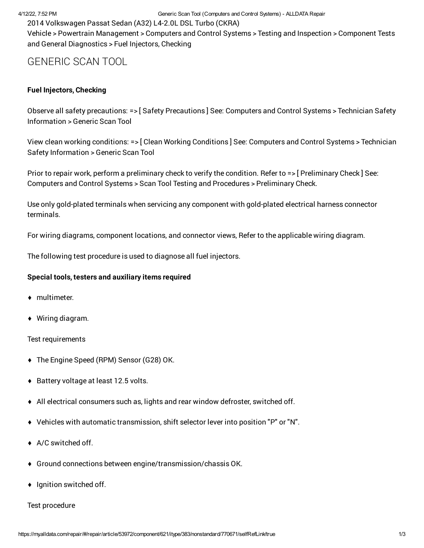2014 Volkswagen Passat Sedan (A32) L4-2.0L DSL Turbo (CKRA)

Vehicle > Powertrain Management > Computers and Control Systems > Testing and Inspection > Component Tests and General Diagnostics > Fuel Injectors, Checking

# GENERIC SCAN TOOL

## **Fuel Injectors, Checking**

Observe all safety precautions: => [ Safety Precautions ] See: Computers and Control Systems > Technician Safety Information > Generic Scan Tool

View clean working conditions: => [ Clean Working Conditions ] See: Computers and Control Systems > Technician Safety Information > Generic Scan Tool

Prior to repair work, perform a preliminary check to verify the condition. Refer to => [ Preliminary Check ] See: Computers and Control Systems > Scan Tool Testing and Procedures > Preliminary Check.

Use only gold-plated terminals when servicing any component with gold-plated electrical harness connector terminals.

For wiring diagrams, component locations, and connector views, Refer to the applicable wiring diagram.

The following test procedure is used to diagnose all fuel injectors.

#### **Special tools, testers and auxiliary items required**

- ♦ multimeter.
- ♦ Wiring diagram.

#### Test requirements

- ♦ The Engine Speed (RPM) Sensor (G28) OK.
- ♦ Battery voltage at least 12.5 volts.
- $\blacklozenge$  All electrical consumers such as, lights and rear window defroster, switched off.
- ♦ Vehicles with automatic transmission, shift selector lever into position "P" or "N".
- ♦ A/C switched off.
- ♦ Ground connections between engine/transmission/chassis OK.
- ♦ Ignition switched off.

#### Test procedure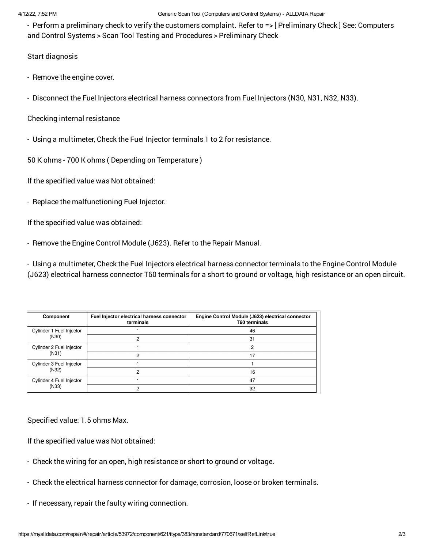#### 4/12/22, 7:52 PM Generic Scan Tool (Computers and Control Systems) - ALLDATA Repair

- Perform a preliminary check to verify the customers complaint. Refer to => [ Preliminary Check ] See: Computers and Control Systems > Scan Tool Testing and Procedures > Preliminary Check

### Start diagnosis

- Remove the engine cover.
- Disconnect the Fuel Injectors electrical harness connectors from Fuel Injectors (N30, N31, N32, N33).
- Checking internal resistance
- Using a multimeter, Check the Fuel Injector terminals 1 to 2 for resistance.

50 K ohms - 700 K ohms ( Depending on Temperature )

If the specified value was Not obtained:

- Replace the malfunctioning Fuel Injector.

If the specified value was obtained:

- Remove the Engine Control Module (J623). Refer to the Repair Manual.

- Using a multimeter, Check the Fuel Injectors electrical harness connector terminals to the Engine Control Module (J623) electrical harness connector T60 terminals for a short to ground or voltage, high resistance or an open circuit.

| Component                         | Fuel Injector electrical harness connector<br>terminals | Engine Control Module (J623) electrical connector<br><b>T60 terminals</b> |
|-----------------------------------|---------------------------------------------------------|---------------------------------------------------------------------------|
| Cylinder 1 Fuel Injector<br>(N30) |                                                         | 46                                                                        |
|                                   |                                                         | 31                                                                        |
| Cylinder 2 Fuel Injector<br>(N31) |                                                         |                                                                           |
|                                   |                                                         | 7                                                                         |
| Cylinder 3 Fuel Injector<br>(N32) |                                                         |                                                                           |
|                                   |                                                         | 16                                                                        |
| Cylinder 4 Fuel Injector<br>(N33) |                                                         | 47                                                                        |
|                                   |                                                         | 32                                                                        |

Specified value: 1.5 ohms Max.

If the specified value was Not obtained:

- Check the wiring for an open, high resistance or short to ground or voltage.
- Check the electrical harness connector for damage, corrosion, loose or broken terminals.
- If necessary, repair the faulty wiring connection.